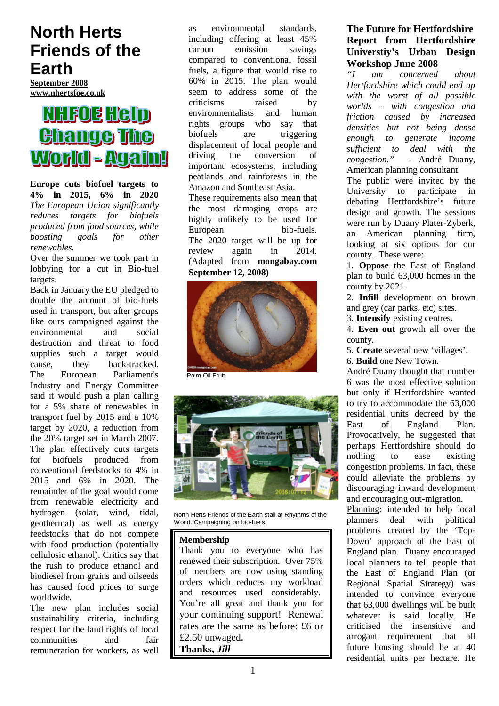## **North Herts Friends of the Earth**

**September 2008 www.nhertsfoe.co.uk**

# **NHFOE HGID Change The** World - Again!

**Europe cuts biofuel targets to 4% in 2015, 6% in 2020** *The European Union significantly reduces targets for biofuels produced from food sources, while boosting goals for other renewables.*

Over the summer we took part in lobbying for a cut in Bio-fuel targets.

Back in January the EU pledged to double the amount of bio-fuels used in transport, but after groups like ours campaigned against the environmental and social destruction and threat to food supplies such a target would cause, they back-tracked. The European Parliament's Industry and Energy Committee said it would push a plan calling for a 5% share of renewables in transport fuel by 2015 and a 10% target by 2020, a reduction from the 20% target set in March 2007. The plan effectively cuts targets for biofuels produced from conventional feedstocks to 4% in 2015 and 6% in 2020. The remainder of the goal would come from renewable electricity and hydrogen (solar, wind, tidal, geothermal) as well as energy feedstocks that do not compete with food production (potentially cellulosic ethanol). Critics say that the rush to produce ethanol and biodiesel from grains and oilseeds has caused food prices to surge worldwide.

The new plan includes social sustainability criteria, including respect for the land rights of local communities and fair remuneration for workers, as well

as environmental standards, including offering at least 45% carbon emission savings compared to conventional fossil fuels, a figure that would rise to 60% in 2015. The plan would seem to address some of the criticisms raised by environmentalists and human rights groups who say that biofuels are triggering displacement of local people and driving the conversion of important ecosystems, including peatlands and rainforests in the Amazon and Southeast Asia.

These requirements also mean that the most damaging crops are highly unlikely to be used for European bio-fuels. The 2020 target will be up for review again in 2014. (Adapted from **mongabay.com September 12, 2008)**



Palm Oil Fruit



North Herts Friends of the Earth stall at Rhythms of the World. Campaigning on bio-fuels.

#### **Membership**

Thank you to everyone who has renewed their subscription. Over 75% of members are now using standing orders which reduces my workload and resources used considerably. You're all great and thank you for your continuing support! Renewal rates are the same as before: £6 or £2.50 unwaged**. Thanks,** *Jill*

## **The Future for Hertfordshire Report from Hertfordshire Universtiy's Urban Design Workshop June 2008**<br>*I* am concerned

am concerned about *Hertfordshire which could end up with the worst of all possible worlds – with congestion and friction caused by increased densities but not being dense enough to generate income sufficient to deal with the congestion."* - André Duany, American planning consultant.

The public were invited by the University to participate in debating Hertfordshire's future design and growth. The sessions were run by Duany Plater-Zyberk, an American planning firm, looking at six options for our county. These were:

1. **Oppose** the East of England plan to build 63,000 homes in the county by 2021.

2. **Infill** development on brown and grey (car parks, etc) sites.

3. **Intensify** existing centres.

4. **Even out** growth all over the county.

5. **Create** several new 'villages'.

6. **Build** one New Town.

André Duany thought that number 6 was the most effective solution but only if Hertfordshire wanted to try to accommodate the 63,000 residential units decreed by the East of England Plan. Provocatively, he suggested that perhaps Hertfordshire should do nothing to ease existing congestion problems. In fact, these could alleviate the problems by discouraging inward development and encouraging out-migration.

Planning: intended to help local planners deal with political problems created by the 'Top-Down' approach of the East of England plan. Duany encouraged local planners to tell people that the East of England Plan (or Regional Spatial Strategy) was intended to convince everyone that 63,000 dwellings will be built whatever is said locally. He criticised the insensitive and arrogant requirement that all future housing should be at 40 residential units per hectare. He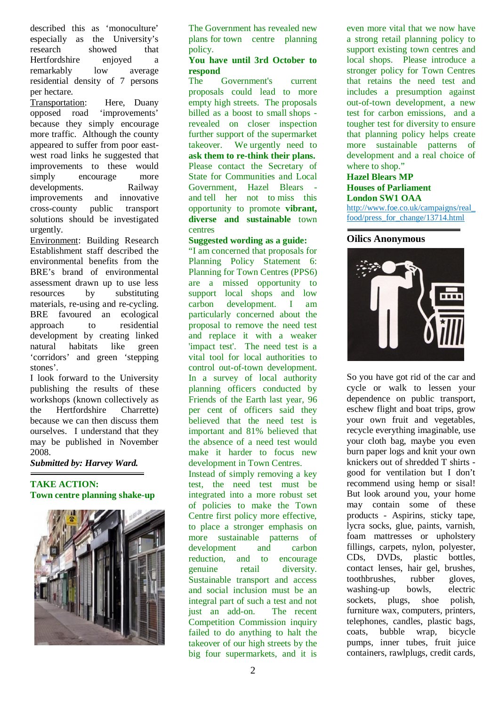described this as 'monoculture' especially as the University's research showed that Hertfordshire enjoyed a remarkably low average residential density of 7 persons per hectare.

Transportation: Here, Duany opposed road 'improvements' because they simply encourage more traffic. Although the county appeared to suffer from poor eastwest road links he suggested that improvements to these would simply encourage more developments. Railway improvements and innovative cross-county public transport solutions should be investigated urgently.

Environment: Building Research Establishment staff described the environmental benefits from the BRE's brand of environmental assessment drawn up to use less resources by substituting materials, re-using and re-cycling. BRE favoured an ecological approach to residential development by creating linked natural habitats like green 'corridors' and green 'stepping stones'.

I look forward to the University publishing the results of these workshops (known collectively as the Hertfordshire Charrette) because we can then discuss them ourselves. I understand that they may be published in November 2008.

#### *Submitted by: Harvey Ward.*

#### **TAKE ACTION: Town centre planning shake-up**



The Government has revealed new plans for town centre planning policy.

## **You have until 3rd October to respond**

Government's current proposals could lead to more empty high streets. The proposals billed as a boost to small shops revealed on closer inspection further support of the supermarket takeover. We urgently need to **ask them to re-think their plans.** Please contact the Secretary of State for Communities and Local Government, Hazel Blears and tell her not to miss this opportunity to promote **vibrant, diverse and sustainable** town centres

#### **Suggested wording as a guide:**

"I am concerned that proposals for Planning Policy Statement 6: Planning for Town Centres (PPS6) are a missed opportunity to support local shops and low carbon development. I am particularly concerned about the proposal to remove the need test and replace it with a weaker 'impact test'. The need test is a vital tool for local authorities to control out-of-town development. In a survey of local authority planning officers conducted by Friends of the Earth last year, 96 per cent of officers said they believed that the need test is important and 81% believed that the absence of a need test would make it harder to focus new development in Town Centres.

Instead of simply removing a key test, the need test must be integrated into a more robust set of policies to make the Town Centre first policy more effective, to place a stronger emphasis on more sustainable patterns of development and carbon reduction, and to encourage genuine retail diversity. Sustainable transport and access and social inclusion must be an integral part of such a test and not just an add-on. The recent Competition Commission inquiry failed to do anything to halt the takeover of our high streets by the big four supermarkets, and it is

even more vital that we now have a strong retail planning policy to support existing town centres and local shops. Please introduce a stronger policy for Town Centres that retains the need test and includes a presumption against out-of-town development, a new test for carbon emissions, and a tougher test for diversity to ensure that planning policy helps create more sustainable patterns of development and a real choice of where to shop."

#### **Hazel Blears MP Houses of Parliament London SW1 OAA**

http://www.foe.co.uk/campaigns/real\_ food/press\_for\_change/13714.html

#### **Oilics Anonymous**



So you have got rid of the car and cycle or walk to lessen your dependence on public transport, eschew flight and boat trips, grow your own fruit and vegetables, recycle everything imaginable, use your cloth bag, maybe you even burn paper logs and knit your own knickers out of shredded T shirts good for ventilation but I don't recommend using hemp or sisal! But look around you, your home may contain some of these products - Aspirins, sticky tape, lycra socks, glue, paints, varnish, foam mattresses or upholstery fillings, carpets, nylon, polyester, CDs, DVDs, plastic bottles, contact lenses, hair gel, brushes, toothbrushes, rubber gloves, washing-up bowls, electric sockets, plugs, shoe polish, furniture wax, computers, printers, telephones, candles, plastic bags, coats, bubble wrap, bicycle pumps, inner tubes, fruit juice containers, rawlplugs, credit cards,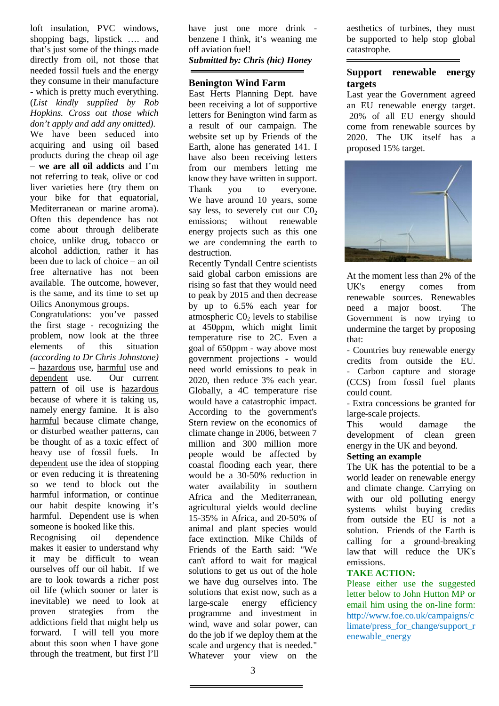loft insulation, PVC windows, shopping bags, lipstick …. and that's just some of the things made directly from oil, not those that needed fossil fuels and the energy they consume in their manufacture - which is pretty much everything. (*List kindly supplied by Rob Hopkins. Cross out those which don't apply and add any omitted).* We have been seduced into acquiring and using oil based products during the cheap oil age – **we are all oil addicts** and I'm not referring to teak, olive or cod liver varieties here (try them on your bike for that equatorial, Mediterranean or marine aroma). Often this dependence has not come about through deliberate choice, unlike drug, tobacco or alcohol addiction, rather it has been due to lack of choice – an oil free alternative has not been available. The outcome, however, is the same, and its time to set up Oilics Anonymous groups.

Congratulations: you've passed the first stage - recognizing the problem, now look at the three elements of this situation *(according to Dr Chris Johnstone)* – hazardous use, harmful use and dependent use. Our current pattern of oil use is hazardous because of where it is taking us, namely energy famine. It is also harmful because climate change, or disturbed weather patterns, can be thought of as a toxic effect of heavy use of fossil fuels. In dependent use the idea of stopping or even reducing it is threatening so we tend to block out the harmful information, or continue our habit despite knowing it's harmful. Dependent use is when someone is hooked like this.

Recognising oil dependence makes it easier to understand why it may be difficult to wean ourselves off our oil habit. If we are to look towards a richer post oil life (which sooner or later is inevitable) we need to look at proven strategies from the addictions field that might help us forward. I will tell you more about this soon when I have gone through the treatment, but first I'll

have just one more drink benzene I think, it's weaning me off aviation fuel! *Submitted by: Chris (hic) Honey* 

#### **Benington Wind Farm**

East Herts Planning Dept. have been receiving a lot of supportive letters for Benington wind farm as a result of our campaign. The website set up by Friends of the Earth, alone has generated 141. I have also been receiving letters from our members letting me know they have written in support. Thank you to everyone. We have around 10 years, some say less, to severely cut our  $CO<sub>2</sub>$ emissions; without renewable energy projects such as this one we are condemning the earth to destruction.

Recently Tyndall Centre scientists said global carbon emissions are rising so fast that they would need to peak by 2015 and then decrease by up to 6.5% each year for atmospheric  $CO<sub>2</sub>$  levels to stabilise at 450ppm, which might limit temperature rise to 2C. Even a goal of 650ppm - way above most government projections - would need world emissions to peak in 2020, then reduce 3% each year. Globally, a 4C temperature rise would have a catastrophic impact. According to the government's Stern review on the economics of climate change in 2006, between 7 million and 300 million more people would be affected by coastal flooding each year, there would be a 30-50% reduction in water availability in southern Africa and the Mediterranean, agricultural yields would decline 15-35% in Africa, and 20-50% of animal and plant species would face extinction. Mike Childs of Friends of the Earth said: "We can't afford to wait for magical solutions to get us out of the hole we have dug ourselves into. The solutions that exist now, such as a large-scale energy efficiency programme and investment in wind, wave and solar power, can do the job if we deploy them at the scale and urgency that is needed." Whatever your view on the

aesthetics of turbines, they must be supported to help stop global catastrophe.

#### **Support renewable energy targets**

Last year the Government agreed an EU renewable energy target. 20% of all EU energy should come from renewable sources by 2020. The UK itself has a proposed 15% target.



At the moment less than 2% of the UK's energy comes from renewable sources. Renewables need a major boost. The Government is now trying to undermine the target by proposing that:

- Countries buy renewable energy credits from outside the EU. - Carbon capture and storage (CCS) from fossil fuel plants could count.

- Extra concessions be granted for large-scale projects.

This would damage the development of clean green energy in the UK and beyond.

#### **Setting an example**

The UK has the potential to be a world leader on renewable energy and climate change. Carrying on with our old polluting energy systems whilst buying credits from outside the EU is not a solution. Friends of the Earth is calling for a ground-breaking law that will reduce the UK's emissions.

#### **TAKE ACTION:**

Please either use the suggested letter below to John Hutton MP or email him using the on-line form: http://www.foe.co.uk/campaigns/c limate/press\_for\_change/support\_r enewable\_energy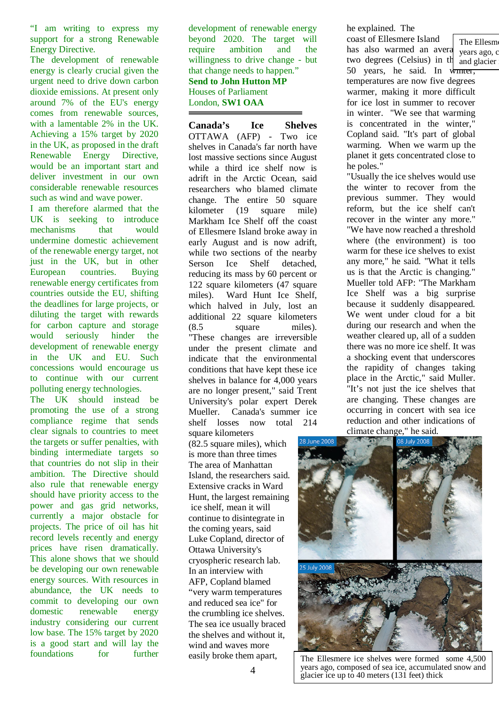"I am writing to express my support for a strong Renewable Energy Directive.

The development of renewable energy is clearly crucial given the urgent need to drive down carbon dioxide emissions. At present only around 7% of the EU's energy comes from renewable sources, with a lamentable 2% in the UK. Achieving a 15% target by 2020 in the UK, as proposed in the draft Renewable Energy Directive, would be an important start and deliver investment in our own considerable renewable resources such as wind and wave power.

I am therefore alarmed that the UK is seeking to introduce mechanisms that would undermine domestic achievement of the renewable energy target, not just in the UK, but in other European countries. Buying renewable energy certificates from countries outside the EU, shifting the deadlines for large projects, or diluting the target with rewards for carbon capture and storage would seriously hinder the development of renewable energy in the UK and EU. Such concessions would encourage us to continue with our current polluting energy technologies.

The UK should instead be promoting the use of a strong compliance regime that sends clear signals to countries to meet the targets or suffer penalties, with binding intermediate targets so that countries do not slip in their ambition. The Directive should also rule that renewable energy should have priority access to the power and gas grid networks, currently a major obstacle for projects. The price of oil has hit record levels recently and energy prices have risen dramatically. This alone shows that we should be developing our own renewable energy sources. With resources in abundance, the UK needs to commit to developing our own domestic renewable energy industry considering our current low base. The 15% target by 2020 is a good start and will lay the foundations for further

development of renewable energy beyond 2020. The target will require ambition and the willingness to drive change - but that change needs to happen." **Send to John Hutton MP**  Houses of Parliament

London, **SW1 OAA**

**Canada's Ice Shelves** OTTAWA (AFP) - Two ice shelves in Canada's far north have lost massive sections since August while a third ice shelf now is adrift in the Arctic Ocean, said researchers who blamed climate change. The entire 50 square kilometer (19 square mile) Markham Ice Shelf off the coast of Ellesmere Island broke away in early August and is now adrift, while two sections of the nearby Serson Ice Shelf detached, reducing its mass by 60 percent or 122 square kilometers (47 square miles). Ward Hunt Ice Shelf, which halved in July, lost an additional 22 square kilometers (8.5 square miles). "These changes are irreversible under the present climate and indicate that the environmental conditions that have kept these ice shelves in balance for 4,000 years are no longer present," said Trent University's polar expert Derek Mueller. Canada's summer ice shelf losses now total 214 square kilometers

(82.5 square miles), which is more than three times The area of Manhattan Island, the researchers said. Extensive cracks in Ward Hunt, the largest remaining ice shelf, mean it will continue to disintegrate in the coming years, said Luke Copland, director of Ottawa University's cryospheric research lab. In an interview with AFP, Copland blamed "very warm temperatures and reduced sea ice" for the crumbling ice shelves. The sea ice usually braced the shelves and without it, wind and waves more easily broke them apart,

he explained. The

coast of Ellesmere Island has also warmed an avera two degrees (Celsius) in  $\text{th}$  and glacier 50 years, he said. In  $\sqrt{m \pi}$ temperatures are now five degrees warmer, making it more difficult for ice lost in summer to recover in winter. "We see that warming is concentrated in the winter," Copland said. "It's part of global warming. When we warm up the planet it gets concentrated close to he poles." The Ellesme years ago, c

"Usually the ice shelves would use the winter to recover from the previous summer. They would reform, but the ice shelf can't recover in the winter any more." "We have now reached a threshold where (the environment) is too warm for these ice shelves to exist any more," he said. "What it tells us is that the Arctic is changing." Mueller told AFP: "The Markham Ice Shelf was a big surprise because it suddenly disappeared. We went under cloud for a bit during our research and when the weather cleared up, all of a sudden there was no more ice shelf. It was a shocking event that underscores the rapidity of changes taking place in the Arctic," said Muller. "It's not just the ice shelves that are changing. These changes are occurring in concert with sea ice reduction and other indications of



The Ellesmere ice shelves were formed some 4,500 years ago, composed of sea ice, accumulated snow and glacier ice up to 40 meters (131 feet) thick

4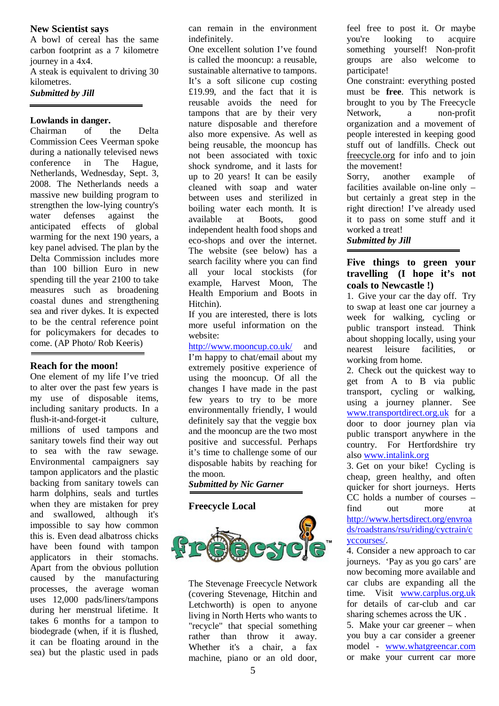#### **New Scientist says**

A bowl of cereal has the same carbon footprint as a 7 kilometre journey in a 4x4. A steak is equivalent to driving 30

kilometres.

*Submitted by Jill*

#### **Lowlands in danger.**

Chairman of the Delta Commission Cees Veerman spoke during a nationally televised news conference in The Hague, Netherlands, Wednesday, Sept. 3, 2008. The Netherlands needs a massive new building program to strengthen the low-lying country's water defenses against the anticipated effects of global warming for the next 190 years, a key panel advised. The plan by the Delta Commission includes more than 100 billion Euro in new spending till the year 2100 to take measures such as broadening coastal dunes and strengthening sea and river dykes. It is expected to be the central reference point for policymakers for decades to come. (AP Photo/ Rob Keeris)

#### **Reach for the moon!**

One element of my life I've tried to alter over the past few years is my use of disposable items, including sanitary products. In a flush-it-and-forget-it culture, millions of used tampons and sanitary towels find their way out to sea with the raw sewage. Environmental campaigners say tampon applicators and the plastic backing from sanitary towels can harm dolphins, seals and turtles when they are mistaken for prey and swallowed, although it's impossible to say how common this is. Even dead albatross chicks have been found with tampon applicators in their stomachs. Apart from the obvious pollution caused by the manufacturing processes, the average woman uses 12,000 pads/liners/tampons during her menstrual lifetime. It takes 6 months for a tampon to biodegrade (when, if it is flushed, it can be floating around in the sea) but the plastic used in pads

can remain in the environment indefinitely.

One excellent solution I've found is called the mooncup: a reusable, sustainable alternative to tampons. It's a soft silicone cup costing £19.99, and the fact that it is reusable avoids the need for tampons that are by their very nature disposable and therefore also more expensive. As well as being reusable, the mooncup has not been associated with toxic shock syndrome, and it lasts for up to 20 years! It can be easily cleaned with soap and water between uses and sterilized in boiling water each month. It is available at Boots, good independent health food shops and eco-shops and over the internet. The website (see below) has a search facility where you can find all your local stockists (for example, Harvest Moon, The Health Emporium and Boots in Hitchin).

If you are interested, there is lots more useful information on the website:

http://www.mooncup.co.uk/ and I'm happy to chat/email about my extremely positive experience of using the mooncup. Of all the changes I have made in the past few years to try to be more environmentally friendly, I would definitely say that the veggie box and the mooncup are the two most positive and successful. Perhaps it's time to challenge some of our disposable habits by reaching for the moon.

*Submitted by Nic Garner*

#### **Freecycle Local**



The Stevenage Freecycle Network (covering Stevenage, Hitchin and Letchworth) is open to anyone living in North Herts who wants to "recycle" that special something rather than throw it away. Whether it's a chair, a fax machine, piano or an old door, feel free to post it. Or maybe you're looking to acquire something yourself! Non-profit groups are also welcome to participate!

One constraint: everything posted must be **free**. This network is brought to you by The Freecycle Network, a non-profit organization and a movement of people interested in keeping good stuff out of landfills. Check out freecycle.org for info and to join the movement!

Sorry, another example of facilities available on-line only – but certainly a great step in the right direction! I've already used it to pass on some stuff and it worked a treat! *Submitted by Jill*

#### **Five things to green your travelling (I hope it's not coals to Newcastle !)**

1. Give your car the day off. Try to swap at least one car journey a week for walking, cycling or public transport instead. Think about shopping locally, using your nearest leisure facilities, or working from home.

2. Check out the quickest way to get from A to B via public transport, cycling or walking, using a journey planner. See www.transportdirect.org.uk for a door to door journey plan via public transport anywhere in the country. For Hertfordshire try also www.intalink.org

3. Get on your bike! Cycling is cheap, green healthy, and often quicker for short journeys. Herts CC holds a number of courses – find out more at http://www.hertsdirect.org/envroa ds/roadstrans/rsu/riding/cyctrain/c yccourses/.

4. Consider a new approach to car journeys. 'Pay as you go cars' are now becoming more available and car clubs are expanding all the time. Visit www.carplus.org.uk for details of car-club and car sharing schemes across the UK . 5. Make your car greener – when you buy a car consider a greener model - www.whatgreencar.com or make your current car more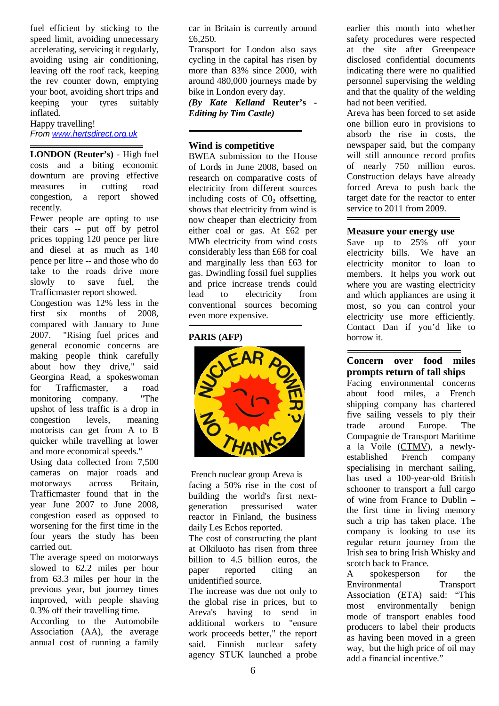fuel efficient by sticking to the speed limit, avoiding unnecessary accelerating, servicing it regularly, avoiding using air conditioning, leaving off the roof rack, keeping the rev counter down, emptying your boot, avoiding short trips and keeping your tyres suitably inflated.

Happy travelling! *From www.hertsdirect.org.uk*

**LONDON (Reuter's)** - High fuel costs and a biting economic downturn are proving effective measures in cutting road congestion, a report showed recently.

Fewer people are opting to use their cars -- put off by petrol prices topping 120 pence per litre and diesel at as much as 140 pence per litre -- and those who do take to the roads drive more slowly to save fuel, the Trafficmaster report showed.

Congestion was 12% less in the first six months of 2008, compared with January to June 2007. "Rising fuel prices and general economic concerns are making people think carefully about how they drive," said Georgina Read, a spokeswoman for Trafficmaster, a road monitoring company. "The upshot of less traffic is a drop in congestion levels, meaning motorists can get from A to B quicker while travelling at lower and more economical speeds."

Using data collected from 7,500 cameras on major roads and motorways across Britain, Trafficmaster found that in the year June 2007 to June 2008, congestion eased as opposed to worsening for the first time in the four years the study has been carried out.

The average speed on motorways slowed to 62.2 miles per hour from 63.3 miles per hour in the previous year, but journey times improved, with people shaving 0.3% off their travelling time.

According to the Automobile Association (AA), the average annual cost of running a family

car in Britain is currently around £6,250.

Transport for London also says cycling in the capital has risen by more than 83% since 2000, with around 480,000 journeys made by bike in London every day.

*(By Kate Kelland* **Reuter's -** *Editing by Tim Castle)*

#### **Wind is competitive**

BWEA submission to the House of Lords in June 2008, based on research on comparative costs of electricity from different sources including costs of  $C_0$  offsetting, shows that electricity from wind is now cheaper than electricity from either coal or gas. At £62 per MWh electricity from wind costs considerably less than £68 for coal and marginally less than £63 for gas. Dwindling fossil fuel supplies and price increase trends could lead to electricity from conventional sources becoming even more expensive.

#### **PARIS (AFP)**



 French nuclear group Areva is facing a 50% rise in the cost of building the world's first nextgeneration pressurised water reactor in Finland, the business daily Les Echos reported.

The cost of constructing the plant at Olkiluoto has risen from three billion to 4.5 billion euros, the paper reported citing an unidentified source.

The increase was due not only to the global rise in prices, but to Areva's having to send in additional workers to "ensure work proceeds better," the report said. Finnish nuclear safety agency STUK launched a probe

earlier this month into whether safety procedures were respected at the site after Greenpeace disclosed confidential documents indicating there were no qualified personnel supervising the welding and that the quality of the welding had not been verified.

Areva has been forced to set aside one billion euro in provisions to absorb the rise in costs, the newspaper said, but the company will still announce record profits of nearly 750 million euros. Construction delays have already forced Areva to push back the target date for the reactor to enter service to 2011 from 2009.

#### **Measure your energy use**

Save up to 25% off your electricity bills. We have an electricity monitor to loan to members. It helps you work out where you are wasting electricity and which appliances are using it most, so you can control your electricity use more efficiently. Contact Dan if you'd like to borrow it.

#### **Concern over food miles prompts return of tall ships**

Facing environmental concerns about food miles, a French shipping company has chartered five sailing vessels to ply their trade around Europe. The Compagnie de Transport Maritime a la Voile (CTMV), a newly-<br>established French company established French company specialising in merchant sailing, has used a 100-year-old British schooner to transport a full cargo of wine from France to Dublin – the first time in living memory such a trip has taken place. The company is looking to use its regular return journey from the Irish sea to bring Irish Whisky and scotch back to France.

A spokesperson for the Environmental Transport Association (ETA) said: "This most environmentally benign mode of transport enables food producers to label their products as having been moved in a green way, but the high price of oil may add a financial incentive."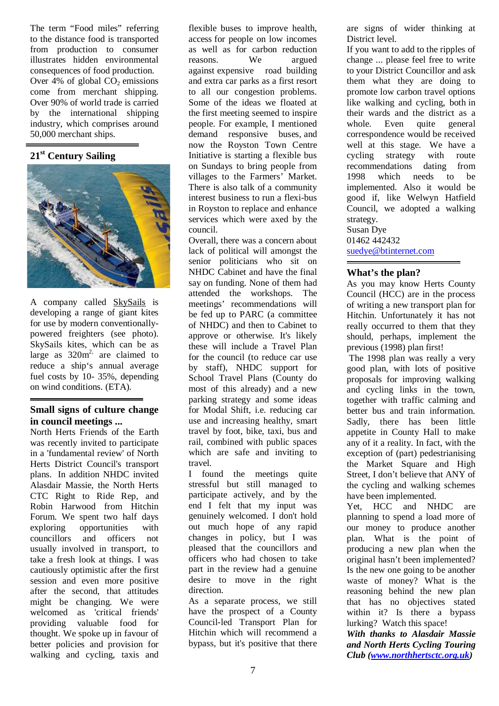The term "Food miles" referring to the distance food is transported from production to consumer illustrates hidden environmental consequences of food production. Over  $4\%$  of global  $CO<sub>2</sub>$  emissions come from merchant shipping. Over 90% of world trade is carried by the international shipping industry, which comprises around 50,000 merchant ships.

## **21st Century Sailing**



A company called SkySails is developing a range of giant kites for use by modern conventionallypowered freighters (see photo). SkySails kites, which can be as large as  $320m^2$ , are claimed to reduce a ship's annual average fuel costs by 10- 35%, depending on wind conditions. (ETA).

#### **Small signs of culture change in council meetings ...**

North Herts Friends of the Earth was recently invited to participate in a 'fundamental review' of North Herts District Council's transport plans. In addition NHDC invited Alasdair Massie, the North Herts CTC Right to Ride Rep, and Robin Harwood from Hitchin Forum. We spent two half days exploring opportunities with councillors and officers not usually involved in transport, to take a fresh look at things. I was cautiously optimistic after the first session and even more positive after the second, that attitudes might be changing. We were welcomed as 'critical friends' providing valuable food for thought. We spoke up in favour of better policies and provision for walking and cycling, taxis and

flexible buses to improve health, access for people on low incomes as well as for carbon reduction reasons. We argued against expensive road building and extra car parks as a first resort to all our congestion problems. Some of the ideas we floated at the first meeting seemed to inspire people. For example, I mentioned demand responsive buses, and now the Royston Town Centre Initiative is starting a flexible bus on Sundays to bring people from villages to the Farmers' Market. There is also talk of a community interest business to run a flexi-bus in Royston to replace and enhance services which were axed by the council.

Overall, there was a concern about lack of political will amongst the senior politicians who sit on NHDC Cabinet and have the final say on funding. None of them had attended the workshops. The meetings' recommendations will be fed up to PARC (a committee of NHDC) and then to Cabinet to approve or otherwise. It's likely these will include a Travel Plan for the council (to reduce car use by staff), NHDC support for School Travel Plans (County do most of this already) and a new parking strategy and some ideas for Modal Shift, i.e. reducing car use and increasing healthy, smart travel by foot, bike, taxi, bus and rail, combined with public spaces which are safe and inviting to travel.

I found the meetings quite stressful but still managed to participate actively, and by the end I felt that my input was genuinely welcomed. I don't hold out much hope of any rapid changes in policy, but I was pleased that the councillors and officers who had chosen to take part in the review had a genuine desire to move in the right direction.

As a separate process, we still have the prospect of a County Council-led Transport Plan for Hitchin which will recommend a bypass, but it's positive that there

are signs of wider thinking at District level.

If you want to add to the ripples of change ... please feel free to write to your District Councillor and ask them what they are doing to promote low carbon travel options like walking and cycling, both in their wards and the district as a<br>whole. Even quite general quite general correspondence would be received well at this stage. We have a cycling strategy with route recommendations dating from 1998 which needs to be implemented. Also it would be good if, like Welwyn Hatfield Council, we adopted a walking strategy. Susan Dye 01462 442432

suedye@btinternet.com

#### **What's the plan?**

As you may know Herts County Council (HCC) are in the process of writing a new transport plan for Hitchin. Unfortunately it has not really occurred to them that they should, perhaps, implement the previous (1998) plan first!

The 1998 plan was really a very good plan, with lots of positive proposals for improving walking and cycling links in the town, together with traffic calming and better bus and train information. Sadly, there has been little appetite in County Hall to make any of it a reality. In fact, with the exception of (part) pedestrianising the Market Square and High Street, I don't believe that ANY of the cycling and walking schemes have been implemented.

Yet, HCC and NHDC are planning to spend a load more of our money to produce another plan. What is the point of producing a new plan when the original hasn't been implemented? Is the new one going to be another waste of money? What is the reasoning behind the new plan that has no objectives stated within it? Is there a bypass lurking? Watch this space!

*With thanks to Alasdair Massie and North Herts Cycling Touring Club (www.northhertsctc.org.uk)*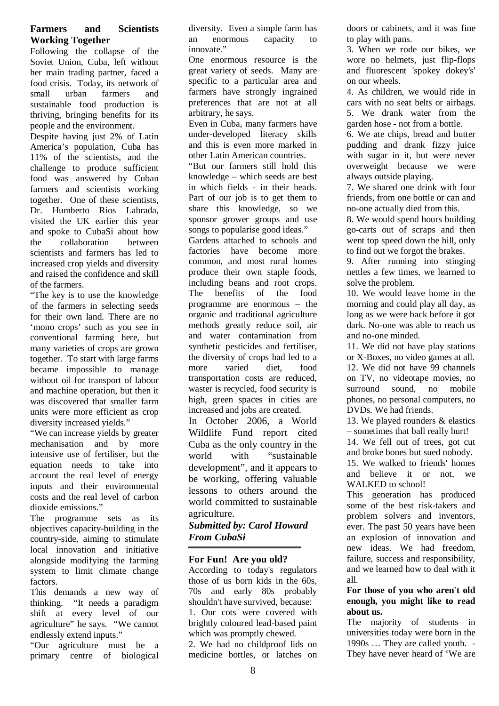#### **Farmers and Scientists Working Together**

Following the collapse of the Soviet Union, Cuba, left without her main trading partner, faced a food crisis. Today, its network of small urban farmers and sustainable food production is thriving, bringing benefits for its people and the environment.

Despite having just 2% of Latin America's population, Cuba has 11% of the scientists, and the challenge to produce sufficient food was answered by Cuban farmers and scientists working together. One of these scientists, Dr. Humberto Rios Labrada, visited the UK earlier this year and spoke to CubaSi about how the collaboration between scientists and farmers has led to increased crop yields and diversity and raised the confidence and skill of the farmers.

"The key is to use the knowledge of the farmers in selecting seeds for their own land. There are no 'mono crops' such as you see in conventional farming here, but many varieties of crops are grown together. To start with large farms became impossible to manage without oil for transport of labour and machine operation, but then it was discovered that smaller farm units were more efficient as crop diversity increased yields."

"We can increase yields by greater mechanisation and by more intensive use of fertiliser, but the equation needs to take into account the real level of energy inputs and their environmental costs and the real level of carbon dioxide emissions."

The programme sets as its objectives capacity-building in the country-side, aiming to stimulate local innovation and initiative alongside modifying the farming system to limit climate change factors.

This demands a new way of thinking. "It needs a paradigm shift at every level of our agriculture" he says. "We cannot endlessly extend inputs."

"Our agriculture must be a primary centre of biological diversity. Even a simple farm has an enormous capacity to innovate."

One enormous resource is the great variety of seeds. Many are specific to a particular area and farmers have strongly ingrained preferences that are not at all arbitrary, he says.

Even in Cuba, many farmers have under-developed literacy skills and this is even more marked in other Latin American countries.

"But our farmers still hold this knowledge – which seeds are best in which fields - in their heads. Part of our job is to get them to share this knowledge, so we sponsor grower groups and use songs to popularise good ideas."

Gardens attached to schools and factories have become more common, and most rural homes produce their own staple foods, including beans and root crops. The benefits of the food programme are enormous – the organic and traditional agriculture methods greatly reduce soil, air and water contamination from synthetic pesticides and fertiliser, the diversity of crops had led to a more varied diet, food transportation costs are reduced, waster is recycled, food security is high, green spaces in cities are increased and jobs are created.

In October 2006, a World Wildlife Fund report cited Cuba as the only country in the world with "sustainable development", and it appears to be working, offering valuable lessons to others around the world committed to sustainable agriculture.

#### *Submitted by: Carol Howard From CubaSi*

#### **For Fun! Are you old?**

According to today's regulators those of us born kids in the 60s, 70s and early 80s probably shouldn't have survived, because: 1. Our cots were covered with brightly coloured lead-based paint which was promptly chewed.

2. We had no childproof lids on medicine bottles, or latches on

doors or cabinets, and it was fine to play with pans.

3. When we rode our bikes, we wore no helmets, just flip-flops and fluorescent 'spokey dokey's' on our wheels.

4. As children, we would ride in cars with no seat belts or airbags. 5. We drank water from the garden hose - not from a bottle.

6. We ate chips, bread and butter pudding and drank fizzy juice with sugar in it, but were never overweight because we were always outside playing.

7. We shared one drink with four friends, from one bottle or can and no-one actually died from this.

8. We would spend hours building go-carts out of scraps and then went top speed down the hill, only to find out we forgot the brakes.

9. After running into stinging nettles a few times, we learned to solve the problem.

10. We would leave home in the morning and could play all day, as long as we were back before it got dark. No-one was able to reach us and no-one minded.

11. We did not have play stations or X-Boxes, no video games at all. 12. We did not have 99 channels on TV, no videotape movies, no surround sound, no mobile phones, no personal computers, no DVDs. We had friends.

13. We played rounders & elastics – sometimes that ball really hurt!

14. We fell out of trees, got cut and broke bones but sued nobody.

15. We walked to friends' homes and believe it or not, we WALKED to school!

This generation has produced some of the best risk-takers and problem solvers and inventors, ever. The past 50 years have been an explosion of innovation and new ideas. We had freedom, failure, success and responsibility, and we learned how to deal with it all.

#### **For those of you who aren't old enough, you might like to read about us.**

The majority of students in universities today were born in the 1990s … They are called youth. - They have never heard of 'We are